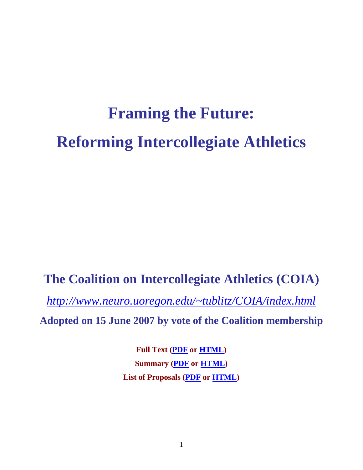# **Framing the Future: Reforming Intercollegiate Athletics**

# **The Coalition on Intercollegiate Athletics (COIA)**

*[http://www.neuro.uoregon.edu/~tublitz/COIA/index.html](http://www.neuro.uoregon.edu/%7Etublitz/COIA/index.html)* 

**Adopted on 15 June 2007 by vote of the Coalition membership** 

**Full Text (PDF or HTML) Summary (PDF or HTML) List of Proposals (PDF or HTML)**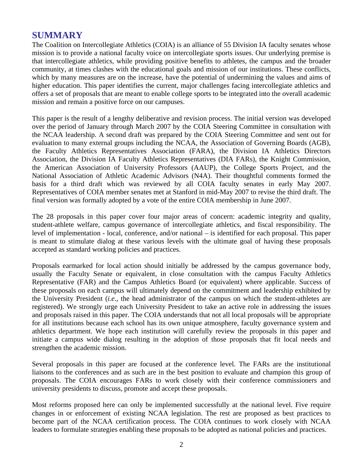# **SUMMARY**

The Coalition on Intercollegiate Athletics (COIA) is an alliance of 55 Division IA faculty senates whose mission is to provide a national faculty voice on intercollegiate sports issues. Our underlying premise is that intercollegiate athletics, while providing positive benefits to athletes, the campus and the broader community, at times clashes with the educational goals and mission of our institutions. These conflicts, which by many measures are on the increase, have the potential of undermining the values and aims of higher education. This paper identifies the current, major challenges facing intercollegiate athletics and offers a set of proposals that are meant to enable college sports to be integrated into the overall academic mission and remain a positive force on our campuses.

This paper is the result of a lengthy deliberative and revision process. The initial version was developed over the period of January through March 2007 by the COIA Steering Committee in consultation with the NCAA leadership. A second draft was prepared by the COIA Steering Committee and sent out for evaluation to many external groups including the NCAA, the Association of Governing Boards (AGB), the Faculty Athletics Representatives Association (FARA), the Division IA Athletics Directors Association, the Division IA Faculty Athletics Representatives (DIA FARs), the Knight Commission, the American Association of University Professors (AAUP), the College Sports Project, and the National Association of Athletic Academic Advisors (N4A). Their thoughtful comments formed the basis for a third draft which was reviewed by all COIA faculty senates in early May 2007. Representatives of COIA member senates met at Stanford in mid-May 2007 to revise the third draft. The final version was formally adopted by a vote of the entire COIA membership in June 2007.

The 28 proposals in this paper cover four major areas of concern: academic integrity and quality, student-athlete welfare, campus governance of intercollegiate athletics, and fiscal responsibility. The level of implementation - local, conference, and/or national – is identified for each proposal. This paper is meant to stimulate dialog at these various levels with the ultimate goal of having these proposals accepted as standard working policies and practices.

Proposals earmarked for local action should initially be addressed by the campus governance body, usually the Faculty Senate or equivalent, in close consultation with the campus Faculty Athletics Representative (FAR) and the Campus Athletics Board (or equivalent) where applicable. Success of these proposals on each campus will ultimately depend on the commitment and leadership exhibited by the University President (*i.e*., the head administrator of the campus on which the student-athletes are registered). We strongly urge each University President to take an active role in addressing the issues and proposals raised in this paper. The COIA understands that not all local proposals will be appropriate for all institutions because each school has its own unique atmosphere, faculty governance system and athletics department. We hope each institution will carefully review the proposals in this paper and initiate a campus wide dialog resulting in the adoption of those proposals that fit local needs and strengthen the academic mission.

Several proposals in this paper are focused at the conference level. The FARs are the institutional liaisons to the conferences and as such are in the best position to evaluate and champion this group of proposals. The COIA encourages FARs to work closely with their conference commissioners and university presidents to discuss, promote and accept these proposals.

Most reforms proposed here can only be implemented successfully at the national level. Five require changes in or enforcement of existing NCAA legislation. The rest are proposed as best practices to become part of the NCAA certification process. The COIA continues to work closely with NCAA leaders to formulate strategies enabling these proposals to be adopted as national policies and practices.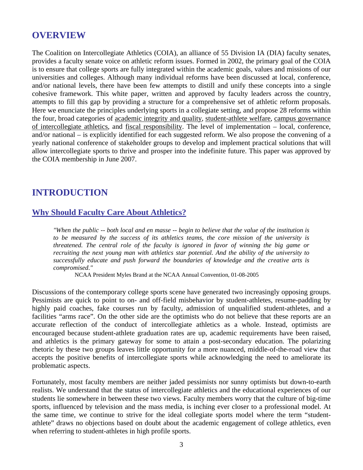# **OVERVIEW**

The Coalition on Intercollegiate Athletics (COIA), an alliance of 55 Division IA (DIA) faculty senates, provides a faculty senate voice on athletic reform issues. Formed in 2002, the primary goal of the COIA is to ensure that college sports are fully integrated within the academic goals, values and missions of our universities and colleges. Although many individual reforms have been discussed at local, conference, and/or national levels, there have been few attempts to distill and unify these concepts into a single cohesive framework. This white paper, written and approved by faculty leaders across the country, attempts to fill this gap by providing a structure for a comprehensive set of athletic reform proposals. Here we enunciate the principles underlying sports in a collegiate setting, and propose 28 reforms within the four, broad categories of academic integrity and quality, student-athlete welfare, campus governance of intercollegiate athletics, and fiscal responsibility. The level of implementation – local, conference, and/or national – is explicitly identified for each suggested reform. We also propose the convening of a yearly national conference of stakeholder groups to develop and implement practical solutions that will allow intercollegiate sports to thrive and prosper into the indefinite future. This paper was approved by the COIA membership in June 2007.

# **INTRODUCTION**

# **Why Should Faculty Care About Athletics?**

*"When the public -- both local and en masse -- begin to believe that the value of the institution is to be measured by the success of its athletics teams, the core mission of the university is threatened. The central role of the faculty is ignored in favor of winning the big game or recruiting the next young man with athletics star potential. And the ability of the university to successfully educate and push forward the boundaries of knowledge and the creative arts is compromised."* 

NCAA President Myles Brand at the NCAA Annual Convention, 01-08-2005

Discussions of the contemporary college sports scene have generated two increasingly opposing groups. Pessimists are quick to point to on- and off-field misbehavior by student-athletes, resume-padding by highly paid coaches, fake courses run by faculty, admission of unqualified student-athletes, and a facilities "arms race". On the other side are the optimists who do not believe that these reports are an accurate reflection of the conduct of intercollegiate athletics as a whole. Instead, optimists are encouraged because student-athlete graduation rates are up, academic requirements have been raised, and athletics is the primary gateway for some to attain a post-secondary education. The polarizing rhetoric by these two groups leaves little opportunity for a more nuanced, middle-of-the-road view that accepts the positive benefits of intercollegiate sports while acknowledging the need to ameliorate its problematic aspects.

Fortunately, most faculty members are neither jaded pessimists nor sunny optimists but down-to-earth realists. We understand that the status of intercollegiate athletics and the educational experiences of our students lie somewhere in between these two views. Faculty members worry that the culture of big-time sports, influenced by television and the mass media, is inching ever closer to a professional model. At the same time, we continue to strive for the ideal collegiate sports model where the term "studentathlete" draws no objections based on doubt about the academic engagement of college athletics, even when referring to student-athletes in high profile sports.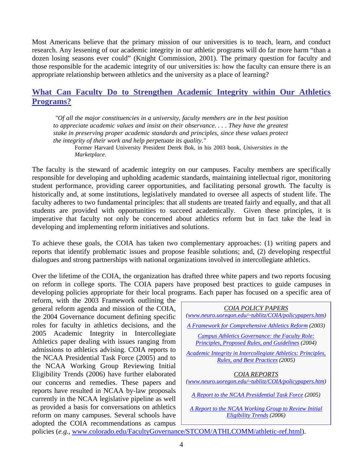Most Americans believe that the primary mission of our universities is to teach, learn, and conduct research. Any lessening of our academic integrity in our athletic programs will do far more harm "than a dozen losing seasons ever could" (Knight Commission, 2001). The primary question for faculty and those responsible for the academic integrity of our universities is: how the faculty can ensure there is an appropriate relationship between athletics and the university as a place of learning?

# **What Can Faculty Do to Strengthen Academic Integrity within Our Athletics Programs?**

*"Of all the major constituencies in a university, faculty members are in the best position to appreciate academic values and insist on their observance. . . . They have the greatest stake in preserving proper academic standards and principles, since these values protect the integrity of their work and help perpetuate its quality."* 

Former Harvard University President Derek Bok, in his 2003 book, *Universities in the Marketplace*.

The faculty is the steward of academic integrity on our campuses. Faculty members are specifically responsible for developing and upholding academic standards, maintaining intellectual rigor, monitoring student performance, providing career opportunities, and facilitating personal growth. The faculty is historically and, at some institutions, legislatively mandated to oversee all aspects of student life. The faculty adheres to two fundamental principles: that all students are treated fairly and equally, and that all students are provided with opportunities to succeed academically. Given these principles, it is imperative that faculty not only be concerned about athletics reform but in fact take the lead in developing and implementing reform initiatives and solutions.

To achieve these goals, the COIA has taken two complementary approaches: (1) writing papers and reports that identify problematic issues and propose feasible solutions; and, (2) developing respectful dialogues and strong partnerships with national organizations involved in intercollegiate athletics.

Over the lifetime of the COIA, the organization has drafted three white papers and two reports focusing on reform in college sports. The COIA papers have proposed best practices to guide campuses in developing policies appropriate for their local programs. Each paper has focused on a specific area of

reform, with the 2003 Framework outlining the general reform agenda and mission of the COIA, the 2004 Governance document defining specific roles for faculty in athletics decisions, and the 2005 Academic Integrity in Intercollegiate Athletics paper dealing with issues ranging from admissions to athletics advising. COIA reports to the NCAA Presidential Task Force (2005) and to the NCAA Working Group Reviewing Initial Eligibility Trends (2006) have further elaborated our concerns and remedies. These papers and reports have resulted in NCAA by-law proposals currently in the NCAA legislative pipeline as well as provided a basis for conversations on athletics reform on many campuses. Several schools have adopted the COIA recommendations as campus



policies (*e.g.,* [www.colorado.edu/FacultyGovernance/STCOM/ATHLCOMM/athletic-ref.html](http://www.colorado.edu/FacultyGovernance/STCOM/ATHLCOMM/athletic-ref.html)).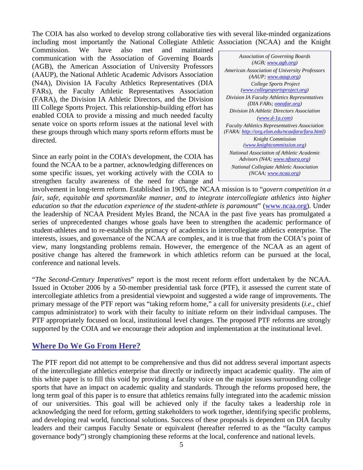The COIA has also worked to develop strong collaborative ties with several like-minded organizations including most importantly the National Collegiate Athletic Association (NCAA) and the Knight

Commission. We have also met and maintained communication with the Association of Governing Boards (AGB), the American Association of University Professors (AAUP), the National Athletic Academic Advisors Association (N4A), Division IA Faculty Athletics Representatives (DIA FARs), the Faculty Athletic Representatives Association (FARA), the Division IA Athletic Directors, and the Division III College Sports Project. This relationship-building effort has enabled COIA to provide a missing and much needed faculty senate voice on sports reform issues at the national level with these groups through which many sports reform efforts must be directed.

Since an early point in the COIA's development, the COIA has found the NCAA to be a partner, acknowledging differences on some specific issues, yet working actively with the COIA to strengthen faculty awareness of the need for change and

*Association of Governing Boards (AGB; [www.agb.org](http://www.agb.org/)) American Association of University Professors (AAUP; [www.aaup.org](http://www.aaup.org/)) College Sports Project [\(www.collegesportsproject.org\)](http://www.collegesportsproject.org/) Division IA Faculty Athletics Representatives (DIA FARs; [oneafar.org](http://oneafar.org/)) Division IA Athletic Directors Association [\(www.d-1a.com\)](http://www.d-1a.com/) Faculty Athletics Representatives Association (FARA:<http://org.elon.edu/ncaafara/fara.html>) Knight Commission ([www.knightcommission.org\)](http://www.knightcommission.org/) National Association of Athletic Academic Advisors (N4A; [www.nfoura.org\)](http://www.nfoura.org/) National Collegiate Athletic Association (NCAA; [www.ncaa.org\)](http://www.ncaa.org/)* 

involvement in long-term reform. Established in 1905, the NCAA mission is to "*govern competition in a fair, safe, equitable and sportsmanlike manner, and to integrate intercollegiate athletics into higher education so that the education experience of the student-athlete is paramount*" ([www.ncaa.org\)](http://www.ncaa.org/). Under the leadership of NCAA President Myles Brand, the NCAA in the past five years has promulgated a series of unprecedented changes whose goals have been to strengthen the academic performance of student-athletes and to re-establish the primacy of academics in intercollegiate athletics enterprise. The interests, issues, and governance of the NCAA are complex, and it is true that from the COIA's point of view, many longstanding problems remain. However, the emergence of the NCAA as an agent of positive change has altered the framework in which athletics reform can be pursued at the local, conference and national levels.

"*The Second-Century Imperatives*" report is the most recent reform effort undertaken by the NCAA. Issued in October 2006 by a 50-member presidential task force (PTF), it assessed the current state of intercollegiate athletics from a presidential viewpoint and suggested a wide range of improvements. The primary message of the PTF report was "taking reform home," a call for university presidents (*i.e*., chief campus administrator) to work with their faculty to initiate reform on their individual campuses. The PTF appropriately focused on local, institutional level changes. The proposed PTF reforms are strongly supported by the COIA and we encourage their adoption and implementation at the institutional level.

# **Where Do We Go From Here?**

The PTF report did not attempt to be comprehensive and thus did not address several important aspects of the intercollegiate athletics enterprise that directly or indirectly impact academic quality. The aim of this white paper is to fill this void by providing a faculty voice on the major issues surrounding college sports that have an impact on academic quality and standards. Through the reforms proposed here, the long term goal of this paper is to ensure that athletics remains fully integrated into the academic mission of our universities. This goal will be achieved only if the faculty takes a leadership role in acknowledging the need for reform, getting stakeholders to work together, identifying specific problems, and developing real world, functional solutions. Success of these proposals is dependent on DIA faculty leaders and their campus Faculty Senate or equivalent (hereafter referred to as the "faculty campus governance body") strongly championing these reforms at the local, conference and national levels.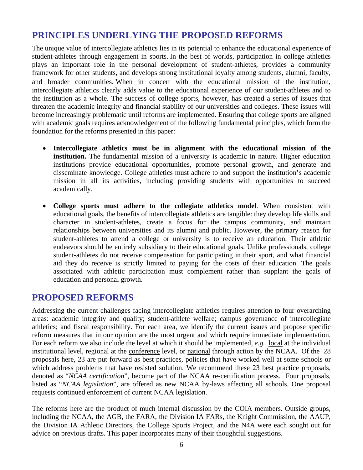# **PRINCIPLES UNDERLYING THE PROPOSED REFORMS**

The unique value of intercollegiate athletics lies in its potential to enhance the educational experience of student-athletes through engagement in sports. In the best of worlds, participation in college athletics plays an important role in the personal development of student-athletes, provides a community framework for other students, and develops strong institutional loyalty among students, alumni, faculty, and broader communities. When in concert with the educational mission of the institution, intercollegiate athletics clearly adds value to the educational experience of our student-athletes and to the institution as a whole. The success of college sports, however, has created a series of issues that threaten the academic integrity and financial stability of our universities and colleges. These issues will become increasingly problematic until reforms are implemented. Ensuring that college sports are aligned with academic goals requires acknowledgement of the following fundamental principles, which form the foundation for the reforms presented in this paper:

- **Intercollegiate athletics must be in alignment with the educational mission of the institution.** The fundamental mission of a university is academic in nature. Higher education institutions provide educational opportunities, promote personal growth, and generate and disseminate knowledge. College athletics must adhere to and support the institution's academic mission in all its activities, including providing students with opportunities to succeed academically.
- **College sports must adhere to the collegiate athletics model**. When consistent with educational goals, the benefits of intercollegiate athletics are tangible: they develop life skills and character in student-athletes, create a focus for the campus community, and maintain relationships between universities and its alumni and public. However, the primary reason for student-athletes to attend a college or university is to receive an education. Their athletic endeavors should be entirely subsidiary to their educational goals. Unlike professionals, college student-athletes do not receive compensation for participating in their sport, and what financial aid they do receive is strictly limited to paying for the costs of their education. The goals associated with athletic participation must complement rather than supplant the goals of education and personal growth.

# **PROPOSED REFORMS**

Addressing the current challenges facing intercollegiate athletics requires attention to four overarching areas: academic integrity and quality; student-athlete welfare; campus governance of intercollegiate athletics; and fiscal responsibility. For each area, we identify the current issues and propose specific reform measures that in our opinion are the most urgent and which require immediate implementation. For each reform we also include the level at which it should be implemented, *e.g.,* local at the individual institutional level, regional at the conference level, or national through action by the NCAA. Of the 28 proposals here, 23 are put forward as best practices, policies that have worked well at some schools or which address problems that have resisted solution. We recommend these 23 best practice proposals, denoted as "*NCAA certification*", become part of the NCAA re-certification process. Four proposals, listed as "*NCAA legislation*", are offered as new NCAA by-laws affecting all schools. One proposal requests continued enforcement of current NCAA legislation.

The reforms here are the product of much internal discussion by the COIA members. Outside groups, including the NCAA, the AGB, the FARA, the Division IA FARs, the Knight Commission, the AAUP, the Division IA Athletic Directors, the College Sports Project, and the N4A were each sought out for advice on previous drafts. This paper incorporates many of their thoughtful suggestions.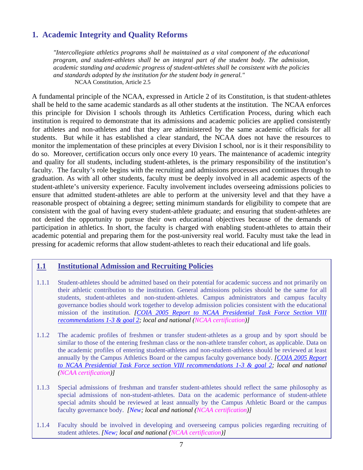# **1. Academic Integrity and Quality Reforms**

*"Intercollegiate athletics programs shall be maintained as a vital component of the educational program, and student-athletes shall be an integral part of the student body. The admission, academic standing and academic progress of student-athletes shall be consistent with the policies and standards adopted by the institution for the student body in general."* NCAA Constitution, Article 2.5

A fundamental principle of the NCAA, expressed in Article 2 of its Constitution, is that student-athletes shall be held to the same academic standards as all other students at the institution. The NCAA enforces this principle for Division I schools through its Athletics Certification Process, during which each institution is required to demonstrate that its admissions and academic policies are applied consistently for athletes and non-athletes and that they are administered by the same academic officials for all students. But while it has established a clear standard, the NCAA does not have the resources to monitor the implementation of these principles at every Division I school, nor is it their responsibility to do so. Moreover, certification occurs only once every 10 years. The maintenance of academic integrity and quality for all students, including student-athletes, is the primary responsibility of the institution's faculty. The faculty's role begins with the recruiting and admissions processes and continues through to graduation. As with all other students, faculty must be deeply involved in all academic aspects of the student-athlete's university experience. Faculty involvement includes overseeing admissions policies to ensure that admitted student-athletes are able to perform at the university level and that they have a reasonable prospect of obtaining a degree; setting minimum standards for eligibility to compete that are consistent with the goal of having every student-athlete graduate; and ensuring that student-athletes are not denied the opportunity to pursue their own educational objectives because of the demands of participation in athletics. In short, the faculty is charged with enabling student-athletes to attain their academic potential and preparing them for the post-university real world. Faculty must take the lead in pressing for academic reforms that allow student-athletes to reach their educational and life goals.

# **1.1 Institutional Admission and Recruiting Policies**

- 1.1.1 Student-athletes should be admitted based on their potential for academic success and not primarily on their athletic contribution to the institution. General admissions policies should be the same for all students, student-athletes and non-student-athletes. Campus administrators and campus faculty governance bodies should work together to develop admission policies consistent with the educational mission of the institution. *[[COIA 2005 Report to NCAA Presidential Task Force Section VIII](http://www.neuro.uoregon.edu/%7Etublitz/COIA/PTF%20report%20%20Dec%2005.htm)  [recommendations 1-3 & goal 2](http://www.neuro.uoregon.edu/%7Etublitz/COIA/PTF%20report%20%20Dec%2005.htm); local and national (NCAA certification)]*
- 1.1.2 The academic profiles of freshmen or transfer student-athletes as a group and by sport should be similar to those of the entering freshman class or the non-athlete transfer cohort, as applicable. Data on the academic profiles of entering student-athletes and non-student-athletes should be reviewed at least annually by the Campus Athletics Board or the campus faculty governance body. *[\[COIA 2005 Report](http://www.neuro.uoregon.edu/%7Etublitz/COIA/PTF%20report%20%20Dec%2005.htm)  [to NCAA Presidential Task Force section VIII recommendations 1-3 & goal 2](http://www.neuro.uoregon.edu/%7Etublitz/COIA/PTF%20report%20%20Dec%2005.htm); local and national (NCAA certification)]*
- 1.1.3 Special admissions of freshman and transfer student-athletes should reflect the same philosophy as special admissions of non-student-athletes. Data on the academic performance of student-athlete special admits should be reviewed at least annually by the Campus Athletic Board or the campus faculty governance body. *[New; local and national (NCAA certification)]*
- 1.1.4 Faculty should be involved in developing and overseeing campus policies regarding recruiting of student athletes. *[New; local and national (NCAA certification)]*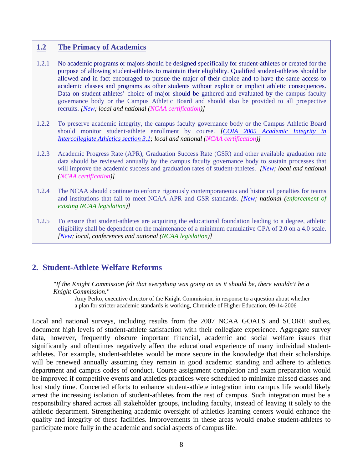#### **1.2 The Primacy of Academics**

- 1.2.1 No academic programs or majors should be designed specifically for student-athletes or created for the purpose of allowing student-athletes to maintain their eligibility. Qualified student-athletes should be allowed and in fact encouraged to pursue the major of their choice and to have the same access to academic classes and programs as other students without explicit or implicit athletic consequences. Data on student-athletes' choice of major should be gathered and evaluated by the campus faculty governance body or the Campus Athletic Board and should also be provided to all prospective recruits. *[New; local and national (NCAA certification)]*
- 1.2.2 To preserve academic integrity, the campus faculty governance body or the Campus Athletic Board should monitor student-athlete enrollment by course. *[\[COIA 2005 Academic Integrity in](http://www.neuro.uoregon.edu/%7Etublitz/COIA/AID.html)  [Intercollegiate Athletics section 3.1](http://www.neuro.uoregon.edu/%7Etublitz/COIA/AID.html); local and national (NCAA certification)]*
- 1.2.3 Academic Progress Rate (APR), Graduation Success Rate (GSR) and other available graduation rate data should be reviewed annually by the campus faculty governance body to sustain processes that will improve the academic success and graduation rates of student-athletes. *[New; local and national (NCAA certification)]*
- 1.2.4 The NCAA should continue to enforce rigorously contemporaneous and historical penalties for teams and institutions that fail to meet NCAA APR and GSR standards. *[New; national (enforcement of existing NCAA legislation)]*
- 1.2.5 To ensure that student-athletes are acquiring the educational foundation leading to a degree, athletic eligibility shall be dependent on the maintenance of a minimum cumulative GPA of 2.0 on a 4.0 scale. *[New; local, conferences and national (NCAA legislation)]*

# **2. Student-Athlete Welfare Reforms**

*"If the Knight Commission felt that everything was going on as it should be, there wouldn't be a Knight Commission."* Amy Perko, executive director of the Knight Commission, in response to a question about whether

a plan for stricter academic standards is working, Chronicle of Higher Education, 09-14-2006

Local and national surveys, including results from the 2007 NCAA GOALS and SCORE studies, document high levels of student-athlete satisfaction with their collegiate experience. Aggregate survey data, however, frequently obscure important financial, academic and social welfare issues that significantly and oftentimes negatively affect the educational experience of many individual studentathletes. For example, student-athletes would be more secure in the knowledge that their scholarships will be renewed annually assuming they remain in good academic standing and adhere to athletics department and campus codes of conduct. Course assignment completion and exam preparation would be improved if competitive events and athletics practices were scheduled to minimize missed classes and lost study time. Concerted efforts to enhance student-athlete integration into campus life would likely arrest the increasing isolation of student-athletes from the rest of campus. Such integration must be a responsibility shared across all stakeholder groups, including faculty, instead of leaving it solely to the athletic department. Strengthening academic oversight of athletics learning centers would enhance the quality and integrity of these facilities. Improvements in these areas would enable student-athletes to participate more fully in the academic and social aspects of campus life.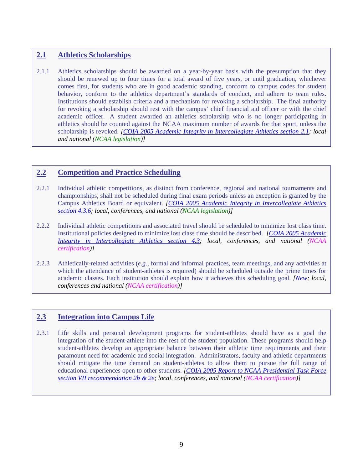# **2.1 Athletics Scholarships**

2.1.1 Athletics scholarships should be awarded on a year-by-year basis with the presumption that they should be renewed up to four times for a total award of five years, or until graduation, whichever comes first, for students who are in good academic standing, conform to campus codes for student behavior, conform to the athletics department's standards of conduct, and adhere to team rules. Institutions should establish criteria and a mechanism for revoking a scholarship. The final authority for revoking a scholarship should rest with the campus' chief financial aid officer or with the chief academic officer. A student awarded an athletics scholarship who is no longer participating in athletics should be counted against the NCAA maximum number of awards for that sport, unless the scholarship is revoked. *[[COIA 2005 Academic Integrity in Intercollegiate Athletics section 2.1](http://www.neuro.uoregon.edu/%7Etublitz/COIA/AID.html); local and national (NCAA legislation)]* 

# **2.2 Competition and Practice Scheduling**

- 2.2.1 Individual athletic competitions, as distinct from conference, regional and national tournaments and championships, shall not be scheduled during final exam periods unless an exception is granted by the Campus Athletics Board or equivalent. *[[COIA 2005 Academic Integrity in Intercollegiate Athletics](http://www.neuro.uoregon.edu/%7Etublitz/COIA/AID.html)  [section 4.3.6;](http://www.neuro.uoregon.edu/%7Etublitz/COIA/AID.html) local, conferences, and national (NCAA legislation)]*
- 2.2.2 Individual athletic competitions and associated travel should be scheduled to minimize lost class time. Institutional policies designed to minimize lost class time should be described. *[[COIA 2005 Academic](http://www.neuro.uoregon.edu/%7Etublitz/COIA/AID.html)  [Integrity in Intercollegiate Athletics section 4.3](http://www.neuro.uoregon.edu/%7Etublitz/COIA/AID.html); local, conferences, and national (NCAA certification)]*
- 2.2.3 Athletically-related activities (*e.g.,* formal and informal practices, team meetings, and any activities at which the attendance of student-athletes is required) should be scheduled outside the prime times for academic classes. Each institution should explain how it achieves this scheduling goal. *[New; local, conferences and national (NCAA certification)]*

#### **2.3 Integration into Campus Life**

2.3.1 Life skills and personal development programs for student-athletes should have as a goal the integration of the student-athlete into the rest of the student population. These programs should help student-athletes develop an appropriate balance between their athletic time requirements and their paramount need for academic and social integration. Administrators, faculty and athletic departments should mitigate the time demand on student-athletes to allow them to pursue the full range of educational experiences open to other students. *[COIA 2005 Report to NCAA Presidential Task Force section VII recommendation 2b & 2e; local, conferences, and national (NCAA certification)]*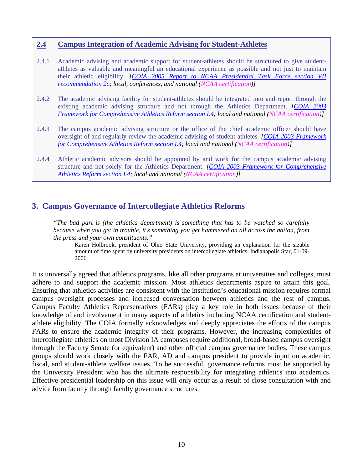#### **2.4 Campus Integration of Academic Advising for Student-Athletes**

- 2.4.1 Academic advising and academic support for student-athletes should be structured to give studentathletes as valuable and meaningful an educational experience as possible and not just to maintain their athletic eligibility. *[\[COIA 2005 Report to NCAA Presidential Task Force section VII](http://www.neuro.uoregon.edu/%7Etublitz/COIA/Framework.html)  [recommendation 2c;](http://www.neuro.uoregon.edu/%7Etublitz/COIA/Framework.html) local, conferences, and national (NCAA certification)]*
- 2.4.2 The academic advising facility for student-athletes should be integrated into and report through the existing academic advising structure and not through the Athletics Department. *[[COIA 2003](http://www.neuro.uoregon.edu/%7Etublitz/COIA/Framework.html)  [Framework for Comprehensive Athletics Reform section I.4;](http://www.neuro.uoregon.edu/%7Etublitz/COIA/Framework.html) local and national (NCAA certification)]*
- 2.4.3 The campus academic advising structure or the office of the chief academic officer should have oversight of and regularly review the academic advising of student-athletes. *[[COIA 2003 Framework](http://www.neuro.uoregon.edu/%7Etublitz/COIA/Framework.html)  [for Comprehensive Athletics Reform section I.4;](http://www.neuro.uoregon.edu/%7Etublitz/COIA/Framework.html) local and national (NCAA certification)]*
- 2.4.4 Athletic academic advisors should be appointed by and work for the campus academic advising structure and not solely for the Athletics Department. *[COIA 2003 Framework for Comprehensive Athletics Reform section I.4; local and national (NCAA certification)]*

# **3. Campus Governance of Intercollegiate Athletics Reforms**

*"The bad part is (the athletics department) is something that has to be watched so carefully because when you get in trouble, it's something you get hammered on all across the nation, from* 

*the press and your own constituents."* Karen Holbrook, president of Ohio State University, providing an explanation for the sizable amount of time spent by university presidents on intercollegiate athletics. Indianapolis Star, 01-09- 2006

It is universally agreed that athletics programs, like all other programs at universities and colleges, must adhere to and support the academic mission. Most athletics departments aspire to attain this goal. Ensuring that athletics activities are consistent with the institution's educational mission requires formal campus oversight processes and increased conversation between athletics and the rest of campus. Campus Faculty Athletics Representatives (FARs) play a key role in both issues because of their knowledge of and involvement in many aspects of athletics including NCAA certification and studentathlete eligibility. The COIA formally acknowledges and deeply appreciates the efforts of the campus FARs to ensure the academic integrity of their programs. However, the increasing complexities of intercollegiate athletics on most Division IA campuses require additional, broad-based campus oversight through the Faculty Senate (or equivalent) and other official campus governance bodies. These campus groups should work closely with the FAR, AD and campus president to provide input on academic, fiscal, and student-athlete welfare issues. To be successful, governance reforms must be supported by the University President who has the ultimate responsibility for integrating athletics into academics. Effective presidential leadership on this issue will only occur as a result of close consultation with and advice from faculty through faculty governance structures.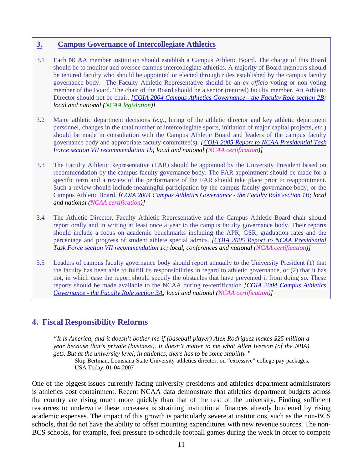#### **3. Campus Governance of Intercollegiate Athletics**

- 3.1 Each NCAA member institution should establish a Campus Athletic Board. The charge of this Board should be to monitor and oversee campus intercollegiate athletics. A majority of Board members should be tenured faculty who should be appointed or elected through rules established by the campus faculty governance body. The Faculty Athletic Representative should be an *ex officio* voting or non-voting member of the Board. The chair of the Board should be a senior (tenured) faculty member. An Athletic Director should not be chair. *[\[COIA 2004 Campus Athletics Governance - the Faculty Role section 2B;](http://www.neuro.uoregon.edu/%7Etublitz/COIA/Governance.html) local and national (NCAA legislation)]*
- 3.2 Major athletic department decisions (*e.g*., hiring of the athletic director and key athletic department personnel, changes in the total number of intercollegiate sports, initiation of major capital projects, *etc.*) should be made in consultation with the Campus Athletic Board and leaders of the campus faculty governance body and appropriate faculty committee(s). *[[COIA 2005 Report to NCAA Presidential Task](http://www.neuro.uoregon.edu/%7Etublitz/COIA/PTF%20report%20%20Dec%2005.htm)  [Force section VII recommendation 1b;](http://www.neuro.uoregon.edu/%7Etublitz/COIA/PTF%20report%20%20Dec%2005.htm) local and national (NCAA certification)]*
- 3.3 The Faculty Athletic Representative (FAR) should be appointed by the University President based on recommendation by the campus faculty governance body. The FAR appointment should be made for a specific term and a review of the performance of the FAR should take place prior to reappointment. Such a review should include meaningful participation by the campus faculty governance body, or the Campus Athletic Board. *[[COIA 2004 Campus Athletics Governance - the Faculty Role section 1B](http://www.neuro.uoregon.edu/%7Etublitz/COIA/Governance.html); local and national (NCAA certification)]*
- 3.4 The Athletic Director, Faculty Athletic Representative and the Campus Athletic Board chair should report orally and in writing at least once a year to the campus faculty governance body. Their reports should include a focus on academic benchmarks including the APR, GSR, graduation rates and the percentage and progress of student athlete special admits. *[[COIA 2005 Report to NCAA Presidential](http://www.neuro.uoregon.edu/%7Etublitz/COIA/PTF%20report%20%20Dec%2005.htm)  [Task Force section VII recommendation 1c](http://www.neuro.uoregon.edu/%7Etublitz/COIA/PTF%20report%20%20Dec%2005.htm); local, conferences and national (NCAA certification)]*
- 3.5 Leaders of campus faculty governance body should report annually to the University President (1) that the faculty has been able to fulfill its responsibilities in regard to athletic governance, or (2) that it has not, in which case the report should specify the obstacles that have prevented it from doing so. These reports should be made available to the NCAA during re-certification *[\[COIA 2004 Campus Athletics](http://www.neuro.uoregon.edu/%7Etublitz/COIA/Governance.html)  [Governance - the Faculty Role section 3A;](http://www.neuro.uoregon.edu/%7Etublitz/COIA/Governance.html) local and national (NCAA certification)]*

# **4. Fiscal Responsibility Reforms**

*"It is America, and it doesn't bother me if (baseball player) Alex Rodriguez makes \$25 million a year because that's private (business). It doesn't matter to me what Allen Iverson (of the NBA) gets. But at the university level, in athletics, there has to be some stability."*

Skip Bertman, Louisiana State University athletics director, on "excessive" college pay packages, USA Today, 01-04-2007

One of the biggest issues currently facing university presidents and athletics department administrators is athletics cost containment. Recent NCAA data demonstrate that athletics department budgets across the country are rising much more quickly than that of the rest of the university. Finding sufficient resources to underwrite these increases is straining institutional finances already burdened by rising academic expenses. The impact of this growth is particularly severe at institutions, such as the non-BCS schools, that do not have the ability to offset mounting expenditures with new revenue sources. The non-BCS schools, for example, feel pressure to schedule football games during the week in order to compete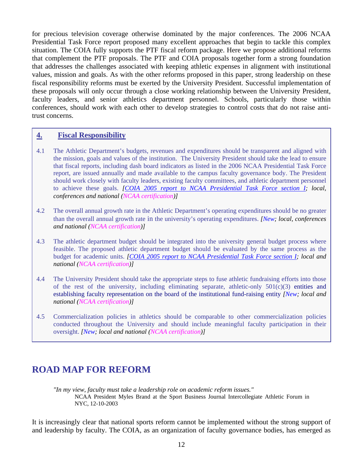for precious television coverage otherwise dominated by the major conferences. The 2006 NCAA Presidential Task Force report proposed many excellent approaches that begin to tackle this complex situation. The COIA fully supports the PTF fiscal reform package. Here we propose additional reforms that complement the PTF proposals. The PTF and COIA proposals together form a strong foundation that addresses the challenges associated with keeping athletic expenses in alignment with institutional values, mission and goals. As with the other reforms proposed in this paper, strong leadership on these fiscal responsibility reforms must be exerted by the University President. Successful implementation of these proposals will only occur through a close working relationship between the University President, faculty leaders, and senior athletics department personnel. Schools, particularly those within conferences, should work with each other to develop strategies to control costs that do not raise antitrust concerns.

#### **4. Fiscal Responsibility**

- 4.1 The Athletic Department's budgets, revenues and expenditures should be transparent and aligned with the mission, goals and values of the institution. The University President should take the lead to ensure that fiscal reports, including dash board indicators as listed in the 2006 NCAA Presidential Task Force report, are issued annually and made available to the campus faculty governance body. The President should work closely with faculty leaders, existing faculty committees, and athletic department personnel to achieve these goals. *[[COIA 2005 report to NCAA Presidential Task Force section I;](http://www.neuro.uoregon.edu/%7Etublitz/COIA/PTF%20report%20%20Dec%2005.htm) local, conferences and national (NCAA certification)]*
- 4.2 The overall annual growth rate in the Athletic Department's operating expenditures should be no greater than the overall annual growth rate in the university's operating expenditures. *[New; local, conferences and national (NCAA certification)]*
- 4.3 The athletic department budget should be integrated into the university general budget process where feasible. The proposed athletic department budget should be evaluated by the same process as the budget for academic units. *[\[COIA 2005 report to NCAA Presidential Task Force section I;](http://www.neuro.uoregon.edu/%7Etublitz/COIA/PTF%20report%20%20Dec%2005.htm) local and national (NCAA certification)]*
- 4.4 The University President should take the appropriate steps to fuse athletic fundraising efforts into those of the rest of the university, including eliminating separate, athletic-only  $501(c)(3)$  entities and establishing faculty representation on the board of the institutional fund-raising entity *[New; local and national (NCAA certification)]*
- 4.5 Commercialization policies in athletics should be comparable to other commercialization policies conducted throughout the University and should include meaningful faculty participation in their oversight. *[New; local and national (NCAA certification)]*

# **ROAD MAP FOR REFORM**

*"In my view, faculty must take a leadership role on academic reform issues."* NCAA President Myles Brand at the Sport Business Journal Intercollegiate Athletic Forum in NYC, 12-10-2003

It is increasingly clear that national sports reform cannot be implemented without the strong support of and leadership by faculty. The COIA, as an organization of faculty governance bodies, has emerged as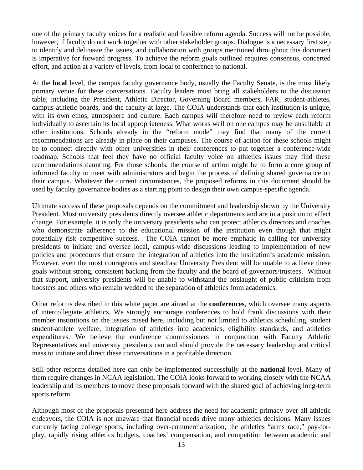one of the primary faculty voices for a realistic and feasible reform agenda. Success will not be possible, however, if faculty do not work together with other stakeholder groups. Dialogue is a necessary first step to identify and delineate the issues, and collaboration with groups mentioned throughout this document is imperative for forward progress. To achieve the reform goals outlined requires consensus, concerted effort, and action at a variety of levels, from local to conference to national.

At the **local** level, the campus faculty governance body, usually the Faculty Senate, is the most likely primary venue for these conversations. Faculty leaders must bring all stakeholders to the discussion table, including the President, Athletic Director, Governing Board members, FAR, student-athletes, campus athletic boards, and the faculty at large. The COIA understands that each institution is unique, with its own ethos, atmosphere and culture. Each campus will therefore need to review each reform individually to ascertain its local appropriateness. What works well on one campus may be unsuitable at other institutions. Schools already in the "reform mode" may find that many of the current recommendations are already in place on their campuses. The course of action for these schools might be to connect directly with other universities in their conferences to put together a conference-wide roadmap. Schools that feel they have no official faculty voice on athletics issues may find these recommendations daunting. For those schools, the course of action might be to form a core group of informed faculty to meet with administrators and begin the process of defining shared governance on their campus. Whatever the current circumstances, the proposed reforms in this document should be used by faculty governance bodies as a starting point to design their own campus-specific agenda.

Ultimate success of these proposals depends on the commitment and leadership shown by the University President. Most university presidents directly oversee athletic departments and are in a position to effect change. For example, it is only the university presidents who can protect athletics directors and coaches who demonstrate adherence to the educational mission of the institution even though that might potentially risk competitive success. The COIA cannot be more emphatic in calling for university presidents to initiate and oversee local, campus-wide discussions leading to implementation of new policies and procedures that ensure the integration of athletics into the institution's academic mission. However, even the most courageous and steadfast University President will be unable to achieve these goals without strong, consistent backing from the faculty and the board of governors/trustees. Without that support, university presidents will be unable to withstand the onslaught of public criticism from boosters and others who remain wedded to the separation of athletics from academics.

Other reforms described in this white paper are aimed at the **conferences**, which oversee many aspects of intercollegiate athletics. We strongly encourage conferences to hold frank discussions with their member institutions on the issues raised here, including but not limited to athletics scheduling, student student-athlete welfare, integration of athletics into academics, eligibility standards, and athletics expenditures. We believe the conference commissioners in conjunction with Faculty Athletic Representatives and university presidents can and should provide the necessary leadership and critical mass to initiate and direct these conversations in a profitable direction.

Still other reforms detailed here can only be implemented successfully at the **national** level. Many of them require changes in NCAA legislation. The COIA looks forward to working closely with the NCAA leadership and its members to move these proposals forward with the shared goal of achieving long-term sports reform.

Although most of the proposals presented here address the need for academic primacy over all athletic endeavors, the COIA is not unaware that financial needs drive many athletics decisions. Many issues currently facing college sports, including over-commercialization, the athletics "arms race," pay-forplay, rapidly rising athletics budgets, coaches' compensation, and competition between academic and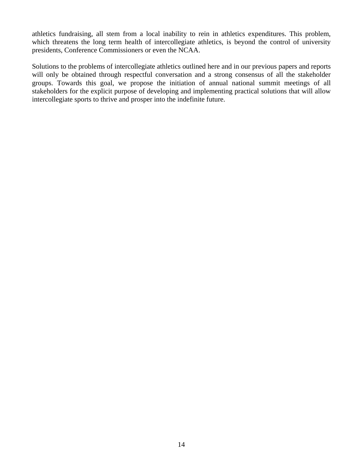athletics fundraising, all stem from a local inability to rein in athletics expenditures. This problem, which threatens the long term health of intercollegiate athletics, is beyond the control of university presidents, Conference Commissioners or even the NCAA.

Solutions to the problems of intercollegiate athletics outlined here and in our previous papers and reports will only be obtained through respectful conversation and a strong consensus of all the stakeholder groups. Towards this goal, we propose the initiation of annual national summit meetings of all stakeholders for the explicit purpose of developing and implementing practical solutions that will allow intercollegiate sports to thrive and prosper into the indefinite future.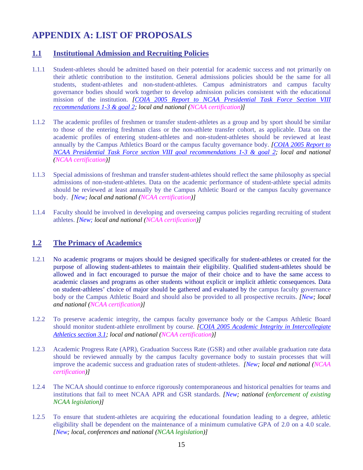# **APPENDIX A: LIST OF PROPOSALS**

## **1.1 Institutional Admission and Recruiting Policies**

- 1.1.1 Student-athletes should be admitted based on their potential for academic success and not primarily on their athletic contribution to the institution. General admissions policies should be the same for all students, student-athletes and non-student-athletes. Campus administrators and campus faculty governance bodies should work together to develop admission policies consistent with the educational mission of the institution. *[\[COIA 2005 Report to NCAA Presidential Task Force Section VIII](http://www.neuro.uoregon.edu/%7Etublitz/COIA/PTF%20report%20%20Dec%2005.htm)  [recommendations 1-3 & goal 2;](http://www.neuro.uoregon.edu/%7Etublitz/COIA/PTF%20report%20%20Dec%2005.htm) local and national (NCAA certification)]*
- 1.1.2 The academic profiles of freshmen or transfer student-athletes as a group and by sport should be similar to those of the entering freshman class or the non-athlete transfer cohort, as applicable. Data on the academic profiles of entering student-athletes and non-student-athletes should be reviewed at least annually by the Campus Athletics Board or the campus faculty governance body. *[[COIA 2005 Report to](http://www.neuro.uoregon.edu/%7Etublitz/COIA/PTF%20report%20%20Dec%2005.htm)  [NCAA Presidential Task Force section VIII goal recommendations 1-3 & goal 2](http://www.neuro.uoregon.edu/%7Etublitz/COIA/PTF%20report%20%20Dec%2005.htm); local and national (NCAA certification)]*
- 1.1.3 Special admissions of freshman and transfer student-athletes should reflect the same philosophy as special admissions of non-student-athletes. Data on the academic performance of student-athlete special admits should be reviewed at least annually by the Campus Athletic Board or the campus faculty governance body. *[New; local and national (NCAA certification)]*
- 1.1.4 Faculty should be involved in developing and overseeing campus policies regarding recruiting of student athletes. *[New; local and national (NCAA certification)]*

#### **1.2 The Primacy of Academics**

- 1.2.1 No academic programs or majors should be designed specifically for student-athletes or created for the purpose of allowing student-athletes to maintain their eligibility. Qualified student-athletes should be allowed and in fact encouraged to pursue the major of their choice and to have the same access to academic classes and programs as other students without explicit or implicit athletic consequences. Data on student-athletes' choice of major should be gathered and evaluated by the campus faculty governance body or the Campus Athletic Board and should also be provided to all prospective recruits. *[New; local and national (NCAA certification)]*
- 1.2.2 To preserve academic integrity, the campus faculty governance body or the Campus Athletic Board should monitor student-athlete enrollment by course. *[\[COIA 2005 Academic Integrity in Intercollegiate](http://www.neuro.uoregon.edu/%7Etublitz/COIA/AID.html)  [Athletics section 3.1;](http://www.neuro.uoregon.edu/%7Etublitz/COIA/AID.html) local and national (NCAA certification)]*
- 1.2.3 Academic Progress Rate (APR), Graduation Success Rate (GSR) and other available graduation rate data should be reviewed annually by the campus faculty governance body to sustain processes that will improve the academic success and graduation rates of student-athletes. *[New; local and national (NCAA certification)]*
- 1.2.4 The NCAA should continue to enforce rigorously contemporaneous and historical penalties for teams and institutions that fail to meet NCAA APR and GSR standards. *[New; national (enforcement of existing NCAA legislation)]*
- 1.2.5 To ensure that student-athletes are acquiring the educational foundation leading to a degree, athletic eligibility shall be dependent on the maintenance of a minimum cumulative GPA of 2.0 on a 4.0 scale. *[New; local, conferences and national (NCAA legislation)]*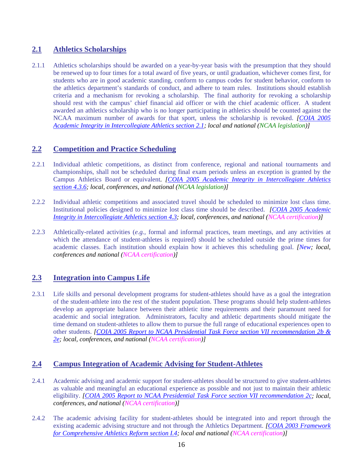# **2.1 Athletics Scholarships**

2.1.1 Athletics scholarships should be awarded on a year-by-year basis with the presumption that they should be renewed up to four times for a total award of five years, or until graduation, whichever comes first, for students who are in good academic standing, conform to campus codes for student behavior, conform to the athletics department's standards of conduct, and adhere to team rules. Institutions should establish criteria and a mechanism for revoking a scholarship. The final authority for revoking a scholarship should rest with the campus' chief financial aid officer or with the chief academic officer. A student awarded an athletics scholarship who is no longer participating in athletics should be counted against the NCAA maximum number of awards for that sport, unless the scholarship is revoked. *[[COIA 2005](http://www.neuro.uoregon.edu/%7Etublitz/COIA/AID.html)  [Academic Integrity in Intercollegiate Athletics section 2.1](http://www.neuro.uoregon.edu/%7Etublitz/COIA/AID.html); local and national (NCAA legislation)]* 

# **2.2 Competition and Practice Scheduling**

- 2.2.1 Individual athletic competitions, as distinct from conference, regional and national tournaments and championships, shall not be scheduled during final exam periods unless an exception is granted by the Campus Athletics Board or equivalent. *[\[COIA 2005 Academic Integrity in Intercollegiate Athletics](http://www.neuro.uoregon.edu/%7Etublitz/COIA/AID.html)  [section 4.3.6;](http://www.neuro.uoregon.edu/%7Etublitz/COIA/AID.html) local, conferences, and national (NCAA legislation)]*
- 2.2.2 Individual athletic competitions and associated travel should be scheduled to minimize lost class time. Institutional policies designed to minimize lost class time should be described. *[\[COIA 2005 Academic](http://www.neuro.uoregon.edu/%7Etublitz/COIA/AID.html)  [Integrity in Intercollegiate Athletics section 4.3](http://www.neuro.uoregon.edu/%7Etublitz/COIA/AID.html); local, conferences, and national (NCAA certification)]*
- 2.2.3 Athletically-related activities (*e.g.,* formal and informal practices, team meetings, and any activities at which the attendance of student-athletes is required) should be scheduled outside the prime times for academic classes. Each institution should explain how it achieves this scheduling goal. *[New; local, conferences and national (NCAA certification)]*

# **2.3 Integration into Campus Life**

2.3.1 Life skills and personal development programs for student-athletes should have as a goal the integration of the student-athlete into the rest of the student population. These programs should help student-athletes develop an appropriate balance between their athletic time requirements and their paramount need for academic and social integration. Administrators, faculty and athletic departments should mitigate the time demand on student-athletes to allow them to pursue the full range of educational experiences open to other students. *[[COIA 2005 Report to NCAA Presidential Task Force section VII recommendation 2b &](http://www.neuro.uoregon.edu/%7Etublitz/COIA/PTF%20report%20%20Dec%2005.htm)  [2e](http://www.neuro.uoregon.edu/%7Etublitz/COIA/PTF%20report%20%20Dec%2005.htm); local, conferences, and national (NCAA certification)]* 

#### **2.4 Campus Integration of Academic Advising for Student-Athletes**

- 2.4.1 Academic advising and academic support for student-athletes should be structured to give student-athletes as valuable and meaningful an educational experience as possible and not just to maintain their athletic eligibility. *[\[COIA 2005 Report to NCAA Presidential Task Force section VII recommendation 2c](http://www.neuro.uoregon.edu/%7Etublitz/COIA/PTF%20report%20%20Dec%2005.htm); local, conferences, and national (NCAA certification)]*
- 2.4.2 The academic advising facility for student-athletes should be integrated into and report through the existing academic advising structure and not through the Athletics Department. *[\[COIA 2003 Framework](http://www.neuro.uoregon.edu/%7Etublitz/COIA/Framework.html)  [for Comprehensive Athletics Reform section I.4;](http://www.neuro.uoregon.edu/%7Etublitz/COIA/Framework.html) local and national (NCAA certification)]*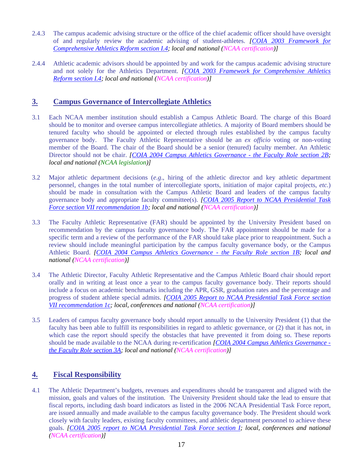- 2.4.3 The campus academic advising structure or the office of the chief academic officer should have oversight of and regularly review the academic advising of student-athletes. *[\[COIA 2003 Framework for](http://www.neuro.uoregon.edu/%7Etublitz/COIA/Framework.html)  [Comprehensive Athletics Reform section I.4](http://www.neuro.uoregon.edu/%7Etublitz/COIA/Framework.html); local and national (NCAA certification)]*
- 2.4.4 Athletic academic advisors should be appointed by and work for the campus academic advising structure and not solely for the Athletics Department. *[[COIA 2003 Framework for Comprehensive Athletics](http://www.neuro.uoregon.edu/%7Etublitz/COIA/Framework.html)  [Reform section I.4;](http://www.neuro.uoregon.edu/%7Etublitz/COIA/Framework.html) local and national (NCAA certification)]*

#### **3. Campus Governance of Intercollegiate Athletics**

- 3.1 Each NCAA member institution should establish a Campus Athletic Board. The charge of this Board should be to monitor and oversee campus intercollegiate athletics. A majority of Board members should be tenured faculty who should be appointed or elected through rules established by the campus faculty governance body. The Faculty Athletic Representative should be an *ex officio* voting or non-voting member of the Board. The chair of the Board should be a senior (tenured) faculty member. An Athletic Director should not be chair. *[[COIA 2004 Campus Athletics Governance - the Faculty Role section 2B](http://www.neuro.uoregon.edu/%7Etublitz/COIA/Governance.html); local and national (NCAA legislation)]*
- 3.2 Major athletic department decisions (*e.g*., hiring of the athletic director and key athletic department personnel, changes in the total number of intercollegiate sports, initiation of major capital projects, *etc.*) should be made in consultation with the Campus Athletic Board and leaders of the campus faculty governance body and appropriate faculty committee(s). *[[COIA 2005 Report to NCAA Presidential Task](http://www.neuro.uoregon.edu/%7Etublitz/COIA/PTF%20report%20%20Dec%2005.htm)  [Force section VII recommendation 1b;](http://www.neuro.uoregon.edu/%7Etublitz/COIA/PTF%20report%20%20Dec%2005.htm) local and national (NCAA certification)]*
- 3.3 The Faculty Athletic Representative (FAR) should be appointed by the University President based on recommendation by the campus faculty governance body. The FAR appointment should be made for a specific term and a review of the performance of the FAR should take place prior to reappointment. Such a review should include meaningful participation by the campus faculty governance body, or the Campus Athletic Board. *[\[COIA 2004 Campus Athletics Governance - the Faculty Role section 1B](http://www.neuro.uoregon.edu/%7Etublitz/COIA/Governance.html); local and national (NCAA certification)]*
- 3.4 The Athletic Director, Faculty Athletic Representative and the Campus Athletic Board chair should report orally and in writing at least once a year to the campus faculty governance body. Their reports should include a focus on academic benchmarks including the APR, GSR, graduation rates and the percentage and progress of student athlete special admits. *[\[COIA 2005 Report to NCAA Presidential Task Force section](http://www.neuro.uoregon.edu/%7Etublitz/COIA/PTF%20report%20%20Dec%2005.htm)  [VII recommendation 1c](http://www.neuro.uoregon.edu/%7Etublitz/COIA/PTF%20report%20%20Dec%2005.htm); local, conferences and national (NCAA certification)]*
- 3.5 Leaders of campus faculty governance body should report annually to the University President (1) that the faculty has been able to fulfill its responsibilities in regard to athletic governance, or (2) that it has not, in which case the report should specify the obstacles that have prevented it from doing so. These reports should be made available to the NCAA during re-certification *[[COIA 2004 Campus Athletics Governance](http://www.neuro.uoregon.edu/%7Etublitz/COIA/Governance.html)  [the Faculty Role section 3A](http://www.neuro.uoregon.edu/%7Etublitz/COIA/Governance.html); local and national (NCAA certification)]*

# **4. Fiscal Responsibility**

4.1 The Athletic Department's budgets, revenues and expenditures should be transparent and aligned with the mission, goals and values of the institution. The University President should take the lead to ensure that fiscal reports, including dash board indicators as listed in the 2006 NCAA Presidential Task Force report, are issued annually and made available to the campus faculty governance body. The President should work closely with faculty leaders, existing faculty committees, and athletic department personnel to achieve these goals. *[\[COIA 2005 report to NCAA Presidential Task Force section I;](http://www.neuro.uoregon.edu/%7Etublitz/COIA/PTF%20report%20%20Dec%2005.htm) local, conferences and national (NCAA certification)]*